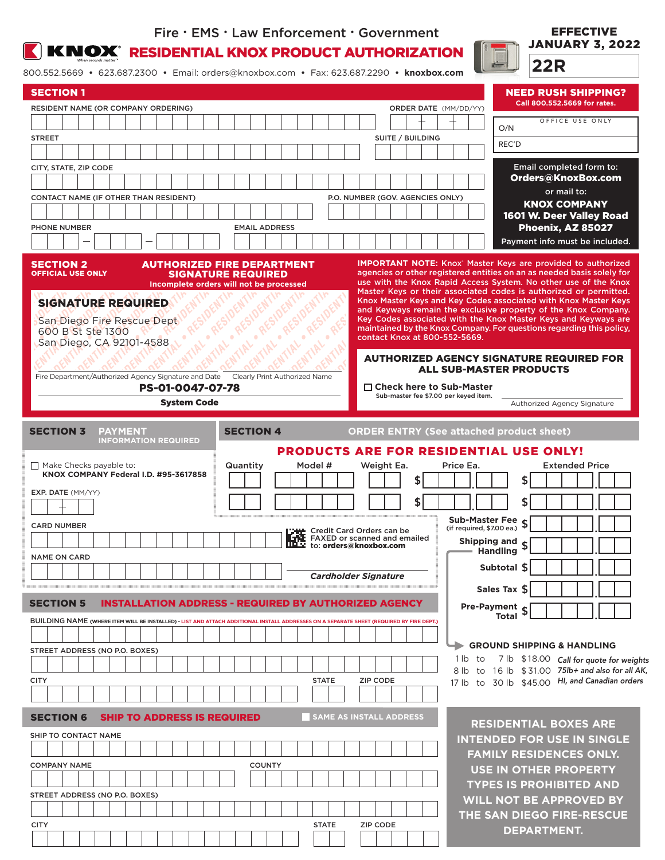### Fire • EMS • Law Enforcement • Government



**K NOX** RESIDENTIAL KNOX PRODUCT AUTHORIZATION

800.552.5669 **•** 623.687.2300 **•** Email: orders@knoxbox.com **•** Fax: 623.687.2290 **• knoxbox.com**

| <b>SECTION 1</b>                                                                                                                         |                                                                |                                                                                                        | <b>NEED RUSH SHIPPING?</b>                                                                                                                                                                                      |
|------------------------------------------------------------------------------------------------------------------------------------------|----------------------------------------------------------------|--------------------------------------------------------------------------------------------------------|-----------------------------------------------------------------------------------------------------------------------------------------------------------------------------------------------------------------|
| RESIDENT NAME (OR COMPANY ORDERING)                                                                                                      |                                                                | <b>ORDER DATE</b> (MM/DD/YY)                                                                           | Call 800.552.5669 for rates.                                                                                                                                                                                    |
|                                                                                                                                          |                                                                |                                                                                                        | OFFICE USE ONLY<br>O/N                                                                                                                                                                                          |
| <b>STREET</b>                                                                                                                            |                                                                | SUITE / BUILDING                                                                                       | REC'D                                                                                                                                                                                                           |
|                                                                                                                                          |                                                                |                                                                                                        |                                                                                                                                                                                                                 |
| CITY, STATE, ZIP CODE                                                                                                                    |                                                                |                                                                                                        | Email completed form to:<br>Orders@KnoxBox.com                                                                                                                                                                  |
|                                                                                                                                          |                                                                |                                                                                                        | or mail to:                                                                                                                                                                                                     |
| CONTACT NAME (IF OTHER THAN RESIDENT)                                                                                                    |                                                                | P.O. NUMBER (GOV. AGENCIES ONLY)                                                                       | <b>KNOX COMPANY</b>                                                                                                                                                                                             |
|                                                                                                                                          |                                                                |                                                                                                        | 1601 W. Deer Valley Road                                                                                                                                                                                        |
| <b>PHONE NUMBER</b>                                                                                                                      | <b>EMAIL ADDRESS</b>                                           |                                                                                                        | Phoenix, AZ 85027<br>Payment info must be included.                                                                                                                                                             |
|                                                                                                                                          |                                                                |                                                                                                        |                                                                                                                                                                                                                 |
| <b>SECTION 2</b><br><b>OFFICIAL USE ONLY</b>                                                                                             | <b>AUTHORIZED FIRE DEPARTMENT</b><br><b>SIGNATURE REQUIRED</b> |                                                                                                        | <b>IMPORTANT NOTE:</b> Knox Master Keys are provided to authorized<br>agencies or other registered entities on an as needed basis solely for<br>use with the Knox Rapid Access System. No other use of the Knox |
|                                                                                                                                          | Incomplete orders will not be processed                        |                                                                                                        | Master Keys or their associated codes is authorized or permitted.                                                                                                                                               |
| <b>SIGNATURE REQUIRED</b>                                                                                                                |                                                                |                                                                                                        | Knox Master Keys and Key Codes associated with Knox Master Keys<br>and Keyways remain the exclusive property of the Knox Company.                                                                               |
| San Diego Fire Rescue Dept                                                                                                               |                                                                |                                                                                                        | Key Codes associated with the Knox Master Keys and Keyways are<br>maintained by the Knox Company. For questions regarding this policy,                                                                          |
| 600 B St Ste 1300<br>San Diego, CA 92101-4588                                                                                            |                                                                | contact Knox at 800-552-5669.                                                                          |                                                                                                                                                                                                                 |
|                                                                                                                                          |                                                                |                                                                                                        | <b>AUTHORIZED AGENCY SIGNATURE REQUIRED FOR</b>                                                                                                                                                                 |
|                                                                                                                                          |                                                                |                                                                                                        | <b>ALL SUB-MASTER PRODUCTS</b>                                                                                                                                                                                  |
| Fire Department/Authorized Agency Signature and Date Clearly Print Authorized Name<br>PS-01-0047-07-78                                   |                                                                | $\Box$ Check here to Sub-Master                                                                        |                                                                                                                                                                                                                 |
| <b>System Code</b>                                                                                                                       |                                                                | Sub-master fee \$7.00 per keyed item.                                                                  | Authorized Agency Signature                                                                                                                                                                                     |
|                                                                                                                                          |                                                                |                                                                                                        |                                                                                                                                                                                                                 |
| <b>SECTION 3</b><br><b>PAYMENT</b><br><b>INFORMATION REQUIRED</b>                                                                        | <b>SECTION 4</b>                                               |                                                                                                        | <b>ORDER ENTRY (See attached product sheet)</b>                                                                                                                                                                 |
|                                                                                                                                          |                                                                |                                                                                                        | <b>PRODUCTS ARE FOR RESIDENTIAL USE ONLY!</b>                                                                                                                                                                   |
| Make Checks payable to:<br>KNOX COMPANY Federal I.D. #95-3617858                                                                         | Quantity<br>Model #                                            | Weight Ea.                                                                                             | <b>Extended Price</b><br>Price Ea.                                                                                                                                                                              |
| EXP. DATE (MM/YY)                                                                                                                        |                                                                |                                                                                                        |                                                                                                                                                                                                                 |
|                                                                                                                                          |                                                                |                                                                                                        |                                                                                                                                                                                                                 |
|                                                                                                                                          |                                                                |                                                                                                        | Sub-Master Fee $\sigma$                                                                                                                                                                                         |
| <b>CARD NUMBER</b>                                                                                                                       |                                                                | <b>THE Credit Card Orders can be</b><br>THE FAXED or scanned and emailed<br>THE to: orders@knoxbox.com | (if required, \$7.00 ea.)                                                                                                                                                                                       |
|                                                                                                                                          |                                                                |                                                                                                        | Shipping and $_{\mathfrak{C}}$<br><b>Handling</b>                                                                                                                                                               |
| <b>NAME ON CARD</b>                                                                                                                      |                                                                |                                                                                                        | Subtotal S                                                                                                                                                                                                      |
|                                                                                                                                          |                                                                | <b>Cardholder Signature</b>                                                                            |                                                                                                                                                                                                                 |
| <b>SECTION 5</b>                                                                                                                         | <b>INSTALLATION ADDRESS - REQUIRED BY AUTHORIZED AGENCY</b>    |                                                                                                        | Sales Tax \$                                                                                                                                                                                                    |
|                                                                                                                                          |                                                                |                                                                                                        | <b>Pre-Payment <math>\int</math></b> Total $\int$                                                                                                                                                               |
| BUILDING NAME (WHERE ITEM WILL BE INSTALLED) - LIST AND ATTACH ADDITIONAL INSTALL ADDRESSES ON A SEPARATE SHEET (REQUIRED BY FIRE DEPT.) |                                                                |                                                                                                        |                                                                                                                                                                                                                 |
| STREET ADDRESS (NO P.O. BOXES)                                                                                                           |                                                                |                                                                                                        | <b>GROUND SHIPPING &amp; HANDLING</b>                                                                                                                                                                           |
|                                                                                                                                          |                                                                |                                                                                                        | 1 lb to 7 lb \$18.00 Call for quote for weights                                                                                                                                                                 |
| <b>CITY</b>                                                                                                                              | <b>STATE</b>                                                   | <b>ZIP CODE</b>                                                                                        | 8 lb to 16 lb \$31.00 75lb+ and also for all AK,<br>17 lb to 30 lb \$45.00 HI, and Canadian orders                                                                                                              |
|                                                                                                                                          |                                                                |                                                                                                        |                                                                                                                                                                                                                 |
|                                                                                                                                          |                                                                |                                                                                                        |                                                                                                                                                                                                                 |
| <b>SECTION 6</b><br><b>SHIP TO ADDRESS IS REQUIRED</b>                                                                                   |                                                                |                                                                                                        |                                                                                                                                                                                                                 |
|                                                                                                                                          |                                                                | <b>SAME AS INSTALL ADDRESS</b>                                                                         | <b>RESIDENTIAL BOXES ARE</b>                                                                                                                                                                                    |
|                                                                                                                                          |                                                                |                                                                                                        |                                                                                                                                                                                                                 |
| SHIP TO CONTACT NAME                                                                                                                     |                                                                |                                                                                                        | <b>FAMILY RESIDENCES ONLY.</b>                                                                                                                                                                                  |
| <b>COMPANY NAME</b>                                                                                                                      | <b>COUNTY</b>                                                  |                                                                                                        | <b>USE IN OTHER PROPERTY</b>                                                                                                                                                                                    |
|                                                                                                                                          |                                                                |                                                                                                        | <b>TYPES IS PROHIBITED AND</b>                                                                                                                                                                                  |
|                                                                                                                                          |                                                                |                                                                                                        | WILL NOT BE APPROVED BY                                                                                                                                                                                         |
| STREET ADDRESS (NO P.O. BOXES)                                                                                                           |                                                                |                                                                                                        | <b>INTENDED FOR USE IN SINGLE</b><br>THE SAN DIEGO FIRE-RESCUE                                                                                                                                                  |
| <b>CITY</b>                                                                                                                              | <b>STATE</b>                                                   | ZIP CODE                                                                                               | <b>DEPARTMENT.</b>                                                                                                                                                                                              |